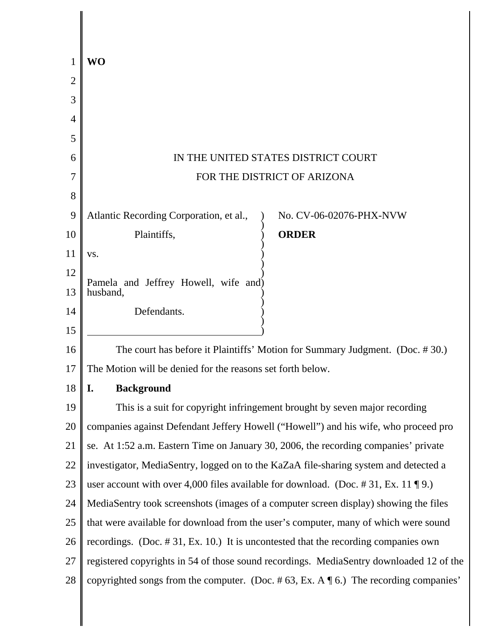| 1              | WO                                                                                               |  |  |
|----------------|--------------------------------------------------------------------------------------------------|--|--|
| $\overline{2}$ |                                                                                                  |  |  |
| 3              |                                                                                                  |  |  |
| 4              |                                                                                                  |  |  |
| 5              |                                                                                                  |  |  |
| 6              | IN THE UNITED STATES DISTRICT COURT                                                              |  |  |
| 7              | FOR THE DISTRICT OF ARIZONA                                                                      |  |  |
| 8              |                                                                                                  |  |  |
| 9              | Atlantic Recording Corporation, et al.,<br>No. CV-06-02076-PHX-NVW                               |  |  |
| 10             | <b>ORDER</b><br>Plaintiffs,                                                                      |  |  |
| 11             | VS.                                                                                              |  |  |
| 12             | Pamela and Jeffrey Howell, wife and)                                                             |  |  |
| 13             | husband,                                                                                         |  |  |
| 14             | Defendants.                                                                                      |  |  |
| 15             |                                                                                                  |  |  |
| 16             | The court has before it Plaintiffs' Motion for Summary Judgment. (Doc. #30.)                     |  |  |
| 17             | The Motion will be denied for the reasons set forth below.                                       |  |  |
| 18             | <b>Background</b><br>I.                                                                          |  |  |
| 19             | This is a suit for copyright infringement brought by seven major recording                       |  |  |
| 20             | companies against Defendant Jeffery Howell ("Howell") and his wife, who proceed pro              |  |  |
| 21             | se. At 1:52 a.m. Eastern Time on January 30, 2006, the recording companies' private              |  |  |
| 22             | investigator, MediaSentry, logged on to the KaZaA file-sharing system and detected a             |  |  |
| 23             | user account with over 4,000 files available for download. (Doc. #31, Ex. 11 \le 9.)             |  |  |
| 24             | MediaSentry took screenshots (images of a computer screen display) showing the files             |  |  |
| 25             | that were available for download from the user's computer, many of which were sound              |  |  |
| 26             | recordings. (Doc. $\# 31$ , Ex. 10.) It is uncontested that the recording companies own          |  |  |
| 27             | registered copyrights in 54 of those sound recordings. MediaSentry downloaded 12 of the          |  |  |
| 28             | copyrighted songs from the computer. (Doc. #63, Ex. A $\mathcal{F}$ 6.) The recording companies' |  |  |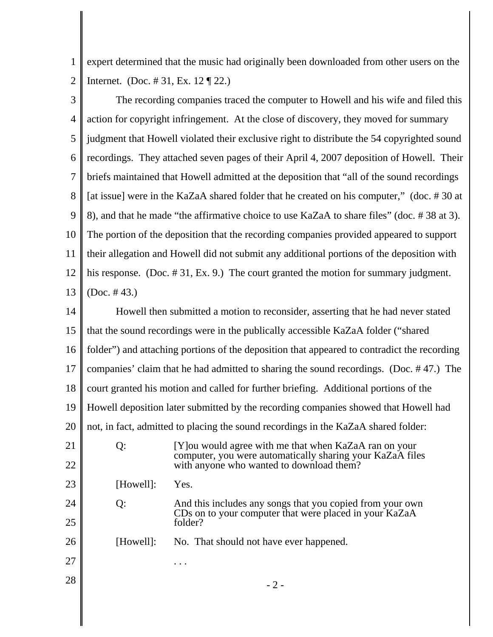1 2 expert determined that the music had originally been downloaded from other users on the Internet. (Doc. # 31, Ex. 12 ¶ 22.)

3 4 5 6 7 8 9 10 11 12 13 The recording companies traced the computer to Howell and his wife and filed this action for copyright infringement. At the close of discovery, they moved for summary judgment that Howell violated their exclusive right to distribute the 54 copyrighted sound recordings. They attached seven pages of their April 4, 2007 deposition of Howell. Their briefs maintained that Howell admitted at the deposition that "all of the sound recordings [at issue] were in the KaZaA shared folder that he created on his computer," (doc. #30 at 8), and that he made "the affirmative choice to use KaZaA to share files" (doc. # 38 at 3). The portion of the deposition that the recording companies provided appeared to support their allegation and Howell did not submit any additional portions of the deposition with his response. (Doc. #31, Ex. 9.) The court granted the motion for summary judgment. (Doc. # 43.)

14 15 16 17 18 19 20 21 22 23 24 25 26 27  $28$   $-2$  -Howell then submitted a motion to reconsider, asserting that he had never stated that the sound recordings were in the publically accessible KaZaA folder ("shared folder") and attaching portions of the deposition that appeared to contradict the recording companies' claim that he had admitted to sharing the sound recordings. (Doc. # 47.) The court granted his motion and called for further briefing. Additional portions of the Howell deposition later submitted by the recording companies showed that Howell had not, in fact, admitted to placing the sound recordings in the KaZaA shared folder: Q: [Y]ou would agree with me that when KaZaA ran on your computer, you were automatically sharing your KaZaA files with anyone who wanted to download them? [Howell]: Yes. Q: And this includes any songs that you copied from your own CDs on to your computer that were placed in your KaZaA folder? [Howell]: No. That should not have ever happened. . . .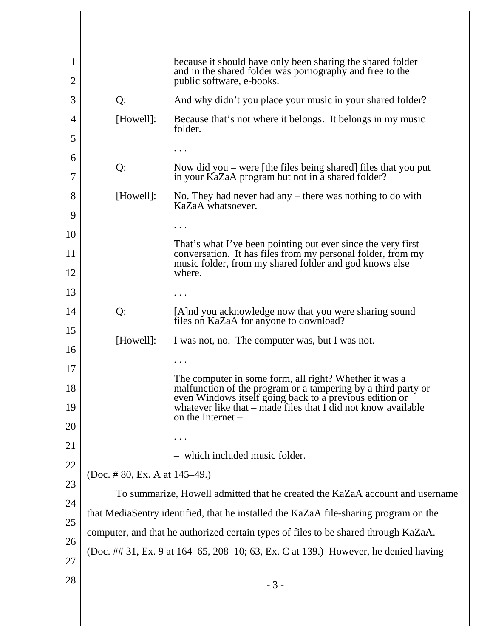| 1        |                                                                                      | because it should have only been sharing the shared folder<br>and in the shared folder was pornography and free to the                          |  |
|----------|--------------------------------------------------------------------------------------|-------------------------------------------------------------------------------------------------------------------------------------------------|--|
| 2        |                                                                                      | public software, e-books.                                                                                                                       |  |
| 3        | Q:                                                                                   | And why didn't you place your music in your shared folder?                                                                                      |  |
| 4        | [Howell]:                                                                            | Because that's not where it belongs. It belongs in my music<br>folder.                                                                          |  |
| 5        |                                                                                      |                                                                                                                                                 |  |
| 6<br>7   | Q:                                                                                   | Now did you $-$ were [the files being shared] files that you put<br>in your KaZaA program but not in a shared folder?                           |  |
| 8        | [Howell]:                                                                            | No. They had never had any $-$ there was nothing to do with<br>KaZaA whatsoever.                                                                |  |
| 9        |                                                                                      |                                                                                                                                                 |  |
| 10       |                                                                                      | That's what I've been pointing out ever since the very first                                                                                    |  |
| 11       |                                                                                      | conversation. It has files from my personal folder, from my                                                                                     |  |
| 12       |                                                                                      | music folder, from my shared folder and god knows else<br>where.                                                                                |  |
| 13       |                                                                                      |                                                                                                                                                 |  |
| 14       | Q:                                                                                   | [A]nd you acknowledge now that you were sharing sound<br>files on KaZaA for anyone to download?                                                 |  |
| 15<br>16 | [Howell]:                                                                            | I was not, no. The computer was, but I was not.                                                                                                 |  |
|          |                                                                                      |                                                                                                                                                 |  |
| 17<br>18 |                                                                                      | The computer in some form, all right? Whether it was a<br>malfunction of the program or a tampering by a third party or                         |  |
| 19       |                                                                                      | even Windows itself going back to a previous edition or<br>whatever like that $-$ made files that I did not know available<br>on the Internet – |  |
| 20       |                                                                                      |                                                                                                                                                 |  |
| 21       |                                                                                      |                                                                                                                                                 |  |
| 22       |                                                                                      | - which included music folder.                                                                                                                  |  |
| 23       | (Doc. #80, Ex. A at $145-49$ .)                                                      |                                                                                                                                                 |  |
|          | To summarize, Howell admitted that he created the KaZaA account and username         |                                                                                                                                                 |  |
| 24       | that MediaSentry identified, that he installed the KaZaA file-sharing program on the |                                                                                                                                                 |  |
| 25       | computer, and that he authorized certain types of files to be shared through KaZaA.  |                                                                                                                                                 |  |
| 26       | (Doc. ## 31, Ex. 9 at 164–65, 208–10; 63, Ex. C at 139.) However, he denied having   |                                                                                                                                                 |  |
| 27       |                                                                                      |                                                                                                                                                 |  |
| 28       |                                                                                      | $-3-$                                                                                                                                           |  |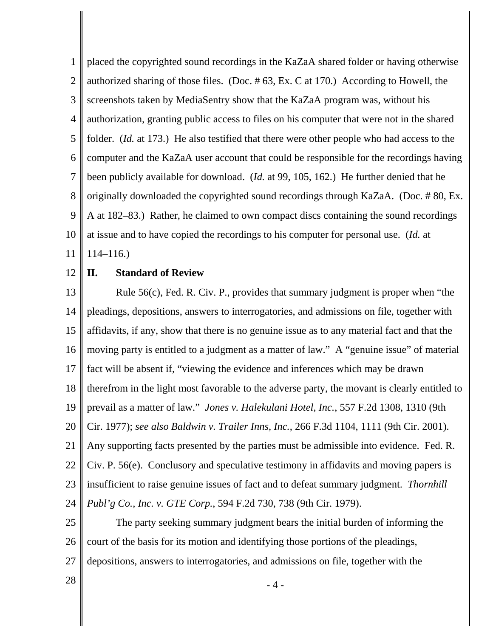1 2 3 4 5 6 7 8 9 10 11 placed the copyrighted sound recordings in the KaZaA shared folder or having otherwise authorized sharing of those files. (Doc. # 63, Ex. C at 170.) According to Howell, the screenshots taken by MediaSentry show that the KaZaA program was, without his authorization, granting public access to files on his computer that were not in the shared folder. (*Id.* at 173.) He also testified that there were other people who had access to the computer and the KaZaA user account that could be responsible for the recordings having been publicly available for download. (*Id.* at 99, 105, 162.) He further denied that he originally downloaded the copyrighted sound recordings through KaZaA. (Doc. # 80, Ex. A at 182–83.) Rather, he claimed to own compact discs containing the sound recordings at issue and to have copied the recordings to his computer for personal use. (*Id.* at 114–116.)

#### 12 **II. Standard of Review**

13 14 15 16 17 18 19 20 21 22 23 24 Rule 56(c), Fed. R. Civ. P., provides that summary judgment is proper when "the pleadings, depositions, answers to interrogatories, and admissions on file, together with affidavits, if any, show that there is no genuine issue as to any material fact and that the moving party is entitled to a judgment as a matter of law." A "genuine issue" of material fact will be absent if, "viewing the evidence and inferences which may be drawn therefrom in the light most favorable to the adverse party, the movant is clearly entitled to prevail as a matter of law." *Jones v. Halekulani Hotel, Inc.*, 557 F.2d 1308, 1310 (9th Cir. 1977); *see also Baldwin v. Trailer Inns, Inc.*, 266 F.3d 1104, 1111 (9th Cir. 2001). Any supporting facts presented by the parties must be admissible into evidence. Fed. R. Civ. P. 56(e). Conclusory and speculative testimony in affidavits and moving papers is insufficient to raise genuine issues of fact and to defeat summary judgment. *Thornhill Publ'g Co., Inc. v. GTE Corp.*, 594 F.2d 730, 738 (9th Cir. 1979).

25 26 27 The party seeking summary judgment bears the initial burden of informing the court of the basis for its motion and identifying those portions of the pleadings, depositions, answers to interrogatories, and admissions on file, together with the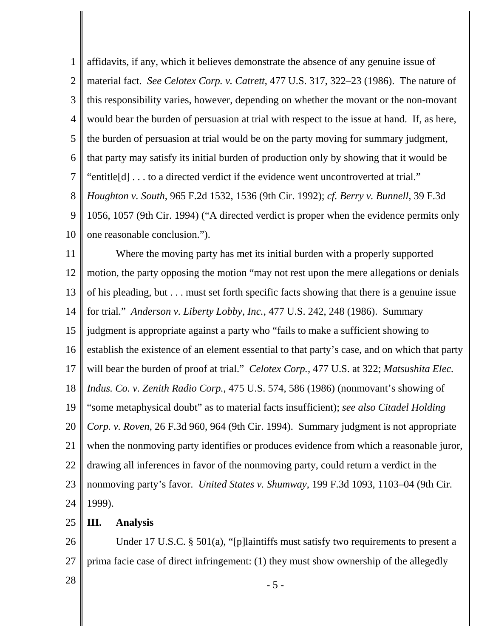1 2 3 4 5 6 7 8 9 10 affidavits, if any, which it believes demonstrate the absence of any genuine issue of material fact. *See Celotex Corp. v. Catrett*, 477 U.S. 317, 322–23 (1986). The nature of this responsibility varies, however, depending on whether the movant or the non-movant would bear the burden of persuasion at trial with respect to the issue at hand. If, as here, the burden of persuasion at trial would be on the party moving for summary judgment, that party may satisfy its initial burden of production only by showing that it would be "entitle[d] . . . to a directed verdict if the evidence went uncontroverted at trial." *Houghton v. South*, 965 F.2d 1532, 1536 (9th Cir. 1992); *cf. Berry v. Bunnell*, 39 F.3d 1056, 1057 (9th Cir. 1994) ("A directed verdict is proper when the evidence permits only one reasonable conclusion.").

11 12 13 14 15 16 17 18 19 20 21 22 23 24 Where the moving party has met its initial burden with a properly supported motion, the party opposing the motion "may not rest upon the mere allegations or denials of his pleading, but . . . must set forth specific facts showing that there is a genuine issue for trial." *Anderson v. Liberty Lobby, Inc.*, 477 U.S. 242, 248 (1986). Summary judgment is appropriate against a party who "fails to make a sufficient showing to establish the existence of an element essential to that party's case, and on which that party will bear the burden of proof at trial." *Celotex Corp.*, 477 U.S. at 322; *Matsushita Elec. Indus. Co. v. Zenith Radio Corp.*, 475 U.S. 574, 586 (1986) (nonmovant's showing of "some metaphysical doubt" as to material facts insufficient); *see also Citadel Holding Corp. v. Roven*, 26 F.3d 960, 964 (9th Cir. 1994). Summary judgment is not appropriate when the nonmoving party identifies or produces evidence from which a reasonable juror, drawing all inferences in favor of the nonmoving party, could return a verdict in the nonmoving party's favor. *United States v. Shumway*, 199 F.3d 1093, 1103–04 (9th Cir. 1999).

25 **III. Analysis**

26 27 Under 17 U.S.C. § 501(a), "[p]laintiffs must satisfy two requirements to present a prima facie case of direct infringement: (1) they must show ownership of the allegedly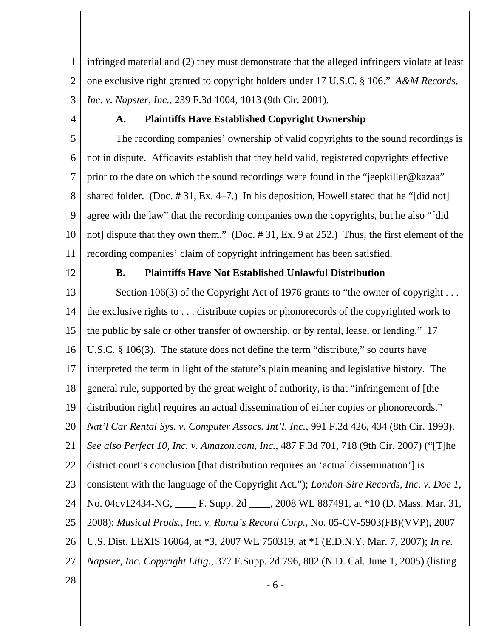1 2 3 infringed material and (2) they must demonstrate that the alleged infringers violate at least one exclusive right granted to copyright holders under 17 U.S.C. § 106." *A&M Records, Inc. v. Napster, Inc.*, 239 F.3d 1004, 1013 (9th Cir. 2001).

4

# **A. Plaintiffs Have Established Copyright Ownership**

5 6 7 8 9 10 11 The recording companies' ownership of valid copyrights to the sound recordings is not in dispute. Affidavits establish that they held valid, registered copyrights effective prior to the date on which the sound recordings were found in the "jeepkiller@kazaa" shared folder. (Doc. # 31, Ex. 4–7.) In his deposition, Howell stated that he "[did not] agree with the law" that the recording companies own the copyrights, but he also "[did not] dispute that they own them." (Doc. # 31, Ex. 9 at 252.) Thus, the first element of the recording companies' claim of copyright infringement has been satisfied.

12

## **B. Plaintiffs Have Not Established Unlawful Distribution**

13 14 15 16 17 18 19 20 21 22 23 24 25 26 27 Section 106(3) of the Copyright Act of 1976 grants to "the owner of copyright ... the exclusive rights to . . . distribute copies or phonorecords of the copyrighted work to the public by sale or other transfer of ownership, or by rental, lease, or lending." 17 U.S.C. § 106(3). The statute does not define the term "distribute," so courts have interpreted the term in light of the statute's plain meaning and legislative history. The general rule, supported by the great weight of authority, is that "infringement of [the distribution right] requires an actual dissemination of either copies or phonorecords." *Nat'l Car Rental Sys. v. Computer Assocs. Int'l, Inc.*, 991 F.2d 426, 434 (8th Cir. 1993). *See also Perfect 10, Inc. v. Amazon.com, Inc.*, 487 F.3d 701, 718 (9th Cir. 2007) ("[T]he district court's conclusion [that distribution requires an 'actual dissemination'] is consistent with the language of the Copyright Act."); *London-Sire Records, Inc. v. Doe 1*, No. 04cv12434-NG, \_\_\_\_ F. Supp. 2d \_\_\_\_, 2008 WL 887491, at \*10 (D. Mass. Mar. 31, 2008); *Musical Prods., Inc. v. Roma's Record Corp.*, No. 05-CV-5903(FB)(VVP), 2007 U.S. Dist. LEXIS 16064, at \*3, 2007 WL 750319, at \*1 (E.D.N.Y. Mar. 7, 2007); *In re. Napster, Inc. Copyright Litig.*, 377 F.Supp. 2d 796, 802 (N.D. Cal. June 1, 2005) (listing

 $28 \t - 6 -$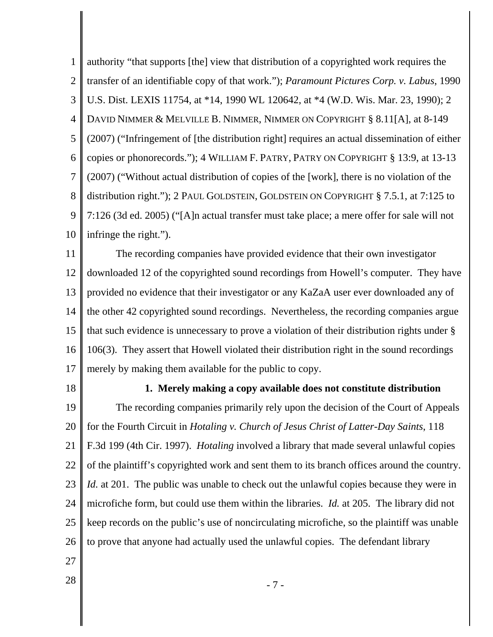1 2 3 4 5 6 7 8 9 10 authority "that supports [the] view that distribution of a copyrighted work requires the transfer of an identifiable copy of that work."); *Paramount Pictures Corp. v. Labus*, 1990 U.S. Dist. LEXIS 11754, at \*14, 1990 WL 120642, at \*4 (W.D. Wis. Mar. 23, 1990); 2 DAVID NIMMER & MELVILLE B. NIMMER, NIMMER ON COPYRIGHT § 8.11[A], at 8-149 (2007) ("Infringement of [the distribution right] requires an actual dissemination of either copies or phonorecords."); 4 WILLIAM F. PATRY, PATRY ON COPYRIGHT § 13:9, at 13-13 (2007) ("Without actual distribution of copies of the [work], there is no violation of the distribution right."); 2 PAUL GOLDSTEIN, GOLDSTEIN ON COPYRIGHT § 7.5.1, at 7:125 to 7:126 (3d ed. 2005) ("[A]n actual transfer must take place; a mere offer for sale will not infringe the right.").

11 12 13 14 15 16 17 The recording companies have provided evidence that their own investigator downloaded 12 of the copyrighted sound recordings from Howell's computer. They have provided no evidence that their investigator or any KaZaA user ever downloaded any of the other 42 copyrighted sound recordings. Nevertheless, the recording companies argue that such evidence is unnecessary to prove a violation of their distribution rights under § 106(3). They assert that Howell violated their distribution right in the sound recordings merely by making them available for the public to copy.

18

## **1. Merely making a copy available does not constitute distribution**

19 20 21 22 23 24 25 26 The recording companies primarily rely upon the decision of the Court of Appeals for the Fourth Circuit in *Hotaling v. Church of Jesus Christ of Latter-Day Saints*, 118 F.3d 199 (4th Cir. 1997). *Hotaling* involved a library that made several unlawful copies of the plaintiff's copyrighted work and sent them to its branch offices around the country. *Id.* at 201. The public was unable to check out the unlawful copies because they were in microfiche form, but could use them within the libraries. *Id.* at 205. The library did not keep records on the public's use of noncirculating microfiche, so the plaintiff was unable to prove that anyone had actually used the unlawful copies. The defendant library

- 27
-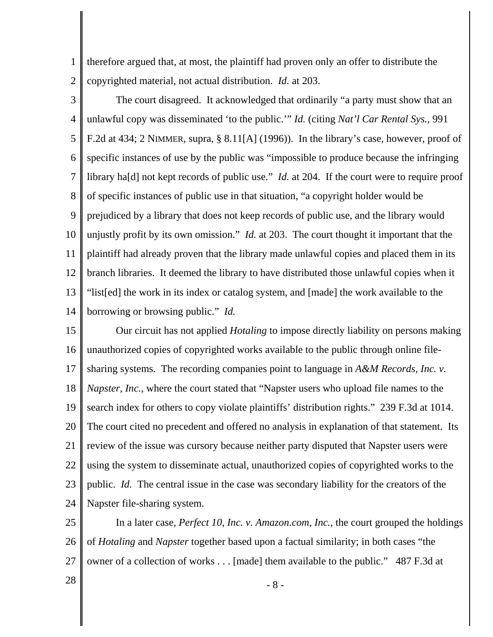1 2 therefore argued that, at most, the plaintiff had proven only an offer to distribute the copyrighted material, not actual distribution. *Id.* at 203.

3 4 5 6 7 8 9 10 11 12 13 14 The court disagreed. It acknowledged that ordinarily "a party must show that an unlawful copy was disseminated 'to the public.'" *Id.* (citing *Nat'l Car Rental Sys.*, 991 F.2d at 434; 2 NIMMER, supra, § 8.11[A] (1996)). In the library's case, however, proof of specific instances of use by the public was "impossible to produce because the infringing library ha[d] not kept records of public use." *Id.* at 204. If the court were to require proof of specific instances of public use in that situation, "a copyright holder would be prejudiced by a library that does not keep records of public use, and the library would unjustly profit by its own omission." *Id.* at 203. The court thought it important that the plaintiff had already proven that the library made unlawful copies and placed them in its branch libraries. It deemed the library to have distributed those unlawful copies when it "list[ed] the work in its index or catalog system, and [made] the work available to the borrowing or browsing public." *Id.*

15 16 17 18 19 20 21 22 23 24 Our circuit has not applied *Hotaling* to impose directly liability on persons making unauthorized copies of copyrighted works available to the public through online filesharing systems. The recording companies point to language in *A&M Records, Inc. v. Napster, Inc.*, where the court stated that "Napster users who upload file names to the search index for others to copy violate plaintiffs' distribution rights." 239 F.3d at 1014. The court cited no precedent and offered no analysis in explanation of that statement. Its review of the issue was cursory because neither party disputed that Napster users were using the system to disseminate actual, unauthorized copies of copyrighted works to the public. *Id.* The central issue in the case was secondary liability for the creators of the Napster file-sharing system.

25 26 27 In a later case, *Perfect 10, Inc. v. Amazon.com, Inc.*, the court grouped the holdings of *Hotaling* and *Napster* together based upon a factual similarity; in both cases "the owner of a collection of works . . . [made] them available to the public." 487 F.3d at

 $28 \text{ }$  - 8 -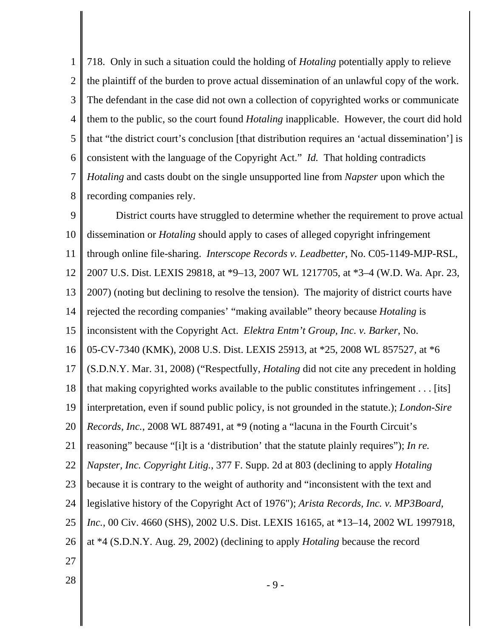1 2 3 4 5 6 7 8 718. Only in such a situation could the holding of *Hotaling* potentially apply to relieve the plaintiff of the burden to prove actual dissemination of an unlawful copy of the work. The defendant in the case did not own a collection of copyrighted works or communicate them to the public, so the court found *Hotaling* inapplicable. However, the court did hold that "the district court's conclusion [that distribution requires an 'actual dissemination'] is consistent with the language of the Copyright Act." *Id.* That holding contradicts *Hotaling* and casts doubt on the single unsupported line from *Napster* upon which the recording companies rely.

9 10 11 12 13 14 15 16 17 18 19 20 21 22 23 24 25 26 27 District courts have struggled to determine whether the requirement to prove actual dissemination or *Hotaling* should apply to cases of alleged copyright infringement through online file-sharing. *Interscope Records v. Leadbetter*, No. C05-1149-MJP-RSL, 2007 U.S. Dist. LEXIS 29818, at \*9–13, 2007 WL 1217705, at \*3–4 (W.D. Wa. Apr. 23, 2007) (noting but declining to resolve the tension). The majority of district courts have rejected the recording companies' "making available" theory because *Hotaling* is inconsistent with the Copyright Act. *Elektra Entm't Group, Inc. v. Barker*, No. 05-CV-7340 (KMK), 2008 U.S. Dist. LEXIS 25913, at \*25, 2008 WL 857527, at \*6 (S.D.N.Y. Mar. 31, 2008) ("Respectfully, *Hotaling* did not cite any precedent in holding that making copyrighted works available to the public constitutes infringement . . . [its] interpretation, even if sound public policy, is not grounded in the statute.); *London-Sire Records, Inc.*, 2008 WL 887491, at \*9 (noting a "lacuna in the Fourth Circuit's reasoning" because "[i]t is a 'distribution' that the statute plainly requires"); *In re. Napster, Inc. Copyright Litig.*, 377 F. Supp. 2d at 803 (declining to apply *Hotaling* because it is contrary to the weight of authority and "inconsistent with the text and legislative history of the Copyright Act of 1976"); *Arista Records, Inc. v. MP3Board, Inc.*, 00 Civ. 4660 (SHS), 2002 U.S. Dist. LEXIS 16165, at \*13–14, 2002 WL 1997918, at \*4 (S.D.N.Y. Aug. 29, 2002) (declining to apply *Hotaling* because the record

 $28 \t - 9 -$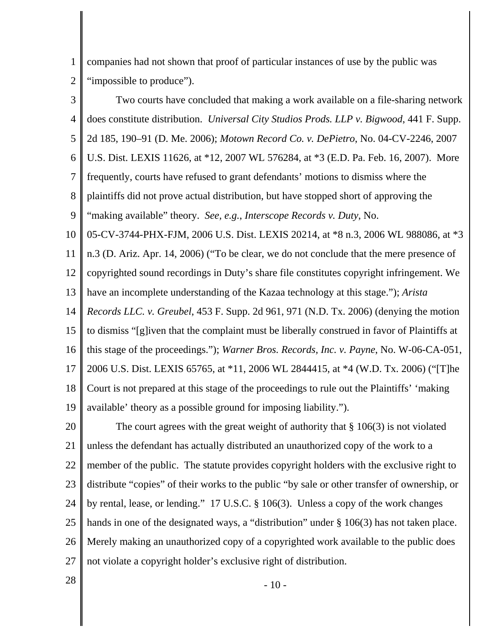1 2 companies had not shown that proof of particular instances of use by the public was "impossible to produce".

3 4 5 6 7 8 9 10 11 12 13 14 15 16 17 18 19 Two courts have concluded that making a work available on a file-sharing network does constitute distribution. *Universal City Studios Prods. LLP v. Bigwood*, 441 F. Supp. 2d 185, 190–91 (D. Me. 2006); *Motown Record Co. v. DePietro*, No. 04-CV-2246, 2007 U.S. Dist. LEXIS 11626, at \*12, 2007 WL 576284, at \*3 (E.D. Pa. Feb. 16, 2007). More frequently, courts have refused to grant defendants' motions to dismiss where the plaintiffs did not prove actual distribution, but have stopped short of approving the "making available" theory. *See, e.g.*, *Interscope Records v. Duty*, No. 05-CV-3744-PHX-FJM, 2006 U.S. Dist. LEXIS 20214, at \*8 n.3, 2006 WL 988086, at \*3 n.3 (D. Ariz. Apr. 14, 2006) ("To be clear, we do not conclude that the mere presence of copyrighted sound recordings in Duty's share file constitutes copyright infringement. We have an incomplete understanding of the Kazaa technology at this stage."); *Arista Records LLC. v. Greubel*, 453 F. Supp. 2d 961, 971 (N.D. Tx. 2006) (denying the motion to dismiss "[g]iven that the complaint must be liberally construed in favor of Plaintiffs at this stage of the proceedings."); *Warner Bros. Records, Inc. v. Payne*, No. W-06-CA-051, 2006 U.S. Dist. LEXIS 65765, at \*11, 2006 WL 2844415, at \*4 (W.D. Tx. 2006) ("[T]he Court is not prepared at this stage of the proceedings to rule out the Plaintiffs' 'making available' theory as a possible ground for imposing liability.").

20 21 22 23 24 25 26 27 The court agrees with the great weight of authority that  $\S 106(3)$  is not violated unless the defendant has actually distributed an unauthorized copy of the work to a member of the public. The statute provides copyright holders with the exclusive right to distribute "copies" of their works to the public "by sale or other transfer of ownership, or by rental, lease, or lending." 17 U.S.C. § 106(3). Unless a copy of the work changes hands in one of the designated ways, a "distribution" under § 106(3) has not taken place. Merely making an unauthorized copy of a copyrighted work available to the public does not violate a copyright holder's exclusive right of distribution.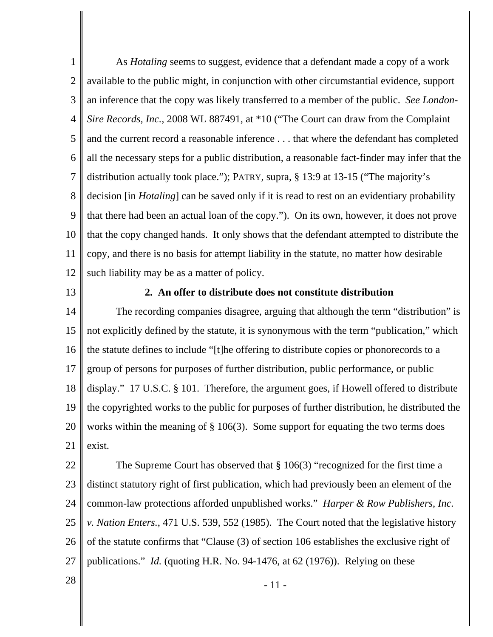1 2 3 4 5 6 7 8 9 10 11 12 As *Hotaling* seems to suggest, evidence that a defendant made a copy of a work available to the public might, in conjunction with other circumstantial evidence, support an inference that the copy was likely transferred to a member of the public. *See London-Sire Records, Inc.*, 2008 WL 887491, at \*10 ("The Court can draw from the Complaint and the current record a reasonable inference . . . that where the defendant has completed all the necessary steps for a public distribution, a reasonable fact-finder may infer that the distribution actually took place."); PATRY, supra, § 13:9 at 13-15 ("The majority's decision [in *Hotaling*] can be saved only if it is read to rest on an evidentiary probability that there had been an actual loan of the copy."). On its own, however, it does not prove that the copy changed hands. It only shows that the defendant attempted to distribute the copy, and there is no basis for attempt liability in the statute, no matter how desirable such liability may be as a matter of policy.

13

#### **2. An offer to distribute does not constitute distribution**

14 15 16 17 18 19 20 21 The recording companies disagree, arguing that although the term "distribution" is not explicitly defined by the statute, it is synonymous with the term "publication," which the statute defines to include "[t]he offering to distribute copies or phonorecords to a group of persons for purposes of further distribution, public performance, or public display." 17 U.S.C. § 101. Therefore, the argument goes, if Howell offered to distribute the copyrighted works to the public for purposes of further distribution, he distributed the works within the meaning of § 106(3). Some support for equating the two terms does exist.

22 23 24 25 26 27 The Supreme Court has observed that  $\S 106(3)$  "recognized for the first time a distinct statutory right of first publication, which had previously been an element of the common-law protections afforded unpublished works." *Harper & Row Publishers, Inc. v. Nation Enters.*, 471 U.S. 539, 552 (1985). The Court noted that the legislative history of the statute confirms that "Clause (3) of section 106 establishes the exclusive right of publications." *Id.* (quoting H.R. No. 94-1476, at 62 (1976)). Relying on these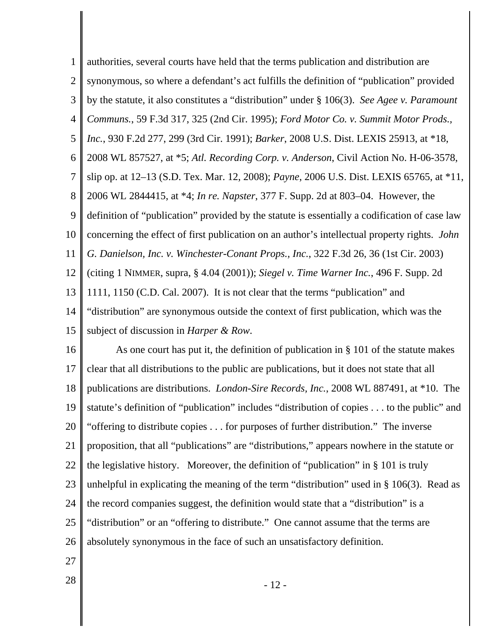1 2 3 4 5 6 7 8 9 10 11 12 13 14 15 authorities, several courts have held that the terms publication and distribution are synonymous, so where a defendant's act fulfills the definition of "publication" provided by the statute, it also constitutes a "distribution" under § 106(3). *See Agee v. Paramount Communs.*, 59 F.3d 317, 325 (2nd Cir. 1995); *Ford Motor Co. v. Summit Motor Prods., Inc.*, 930 F.2d 277, 299 (3rd Cir. 1991); *Barker*, 2008 U.S. Dist. LEXIS 25913, at \*18, 2008 WL 857527, at \*5; *Atl. Recording Corp. v. Anderson*, Civil Action No. H-06-3578, slip op. at 12–13 (S.D. Tex. Mar. 12, 2008); *Payne*, 2006 U.S. Dist. LEXIS 65765, at \*11, 2006 WL 2844415, at \*4; *In re. Napster*, 377 F. Supp. 2d at 803–04. However, the definition of "publication" provided by the statute is essentially a codification of case law concerning the effect of first publication on an author's intellectual property rights. *John G. Danielson, Inc. v. Winchester-Conant Props., Inc.*, 322 F.3d 26, 36 (1st Cir. 2003) (citing 1 NIMMER, supra, § 4.04 (2001)); *Siegel v. Time Warner Inc.*, 496 F. Supp. 2d 1111, 1150 (C.D. Cal. 2007). It is not clear that the terms "publication" and "distribution" are synonymous outside the context of first publication, which was the subject of discussion in *Harper & Row*.

16 17 18 19 20 21 22 23 24 25 26 As one court has put it, the definition of publication in § 101 of the statute makes clear that all distributions to the public are publications, but it does not state that all publications are distributions. *London-Sire Records, Inc.*, 2008 WL 887491, at \*10. The statute's definition of "publication" includes "distribution of copies . . . to the public" and "offering to distribute copies . . . for purposes of further distribution." The inverse proposition, that all "publications" are "distributions," appears nowhere in the statute or the legislative history. Moreover, the definition of "publication" in § 101 is truly unhelpful in explicating the meaning of the term "distribution" used in  $\S$  106(3). Read as the record companies suggest, the definition would state that a "distribution" is a "distribution" or an "offering to distribute." One cannot assume that the terms are absolutely synonymous in the face of such an unsatisfactory definition.

- 27
-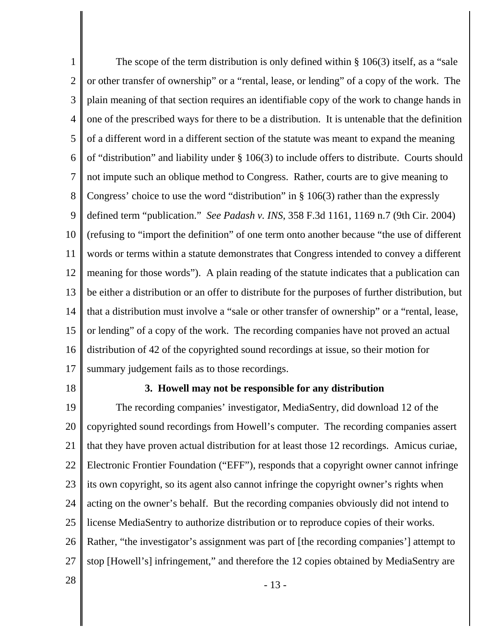1 2 3 4 5 6 7 8 9 10 11 12 13 14 15 16 17 The scope of the term distribution is only defined within  $\S 106(3)$  itself, as a "sale" or other transfer of ownership" or a "rental, lease, or lending" of a copy of the work. The plain meaning of that section requires an identifiable copy of the work to change hands in one of the prescribed ways for there to be a distribution. It is untenable that the definition of a different word in a different section of the statute was meant to expand the meaning of "distribution" and liability under § 106(3) to include offers to distribute. Courts should not impute such an oblique method to Congress. Rather, courts are to give meaning to Congress' choice to use the word "distribution" in § 106(3) rather than the expressly defined term "publication." *See Padash v. INS*, 358 F.3d 1161, 1169 n.7 (9th Cir. 2004) (refusing to "import the definition" of one term onto another because "the use of different words or terms within a statute demonstrates that Congress intended to convey a different meaning for those words"). A plain reading of the statute indicates that a publication can be either a distribution or an offer to distribute for the purposes of further distribution, but that a distribution must involve a "sale or other transfer of ownership" or a "rental, lease, or lending" of a copy of the work. The recording companies have not proved an actual distribution of 42 of the copyrighted sound recordings at issue, so their motion for summary judgement fails as to those recordings.

18

#### **3. Howell may not be responsible for any distribution**

19 20 21 22 23 24 25 26 27 The recording companies' investigator, MediaSentry, did download 12 of the copyrighted sound recordings from Howell's computer. The recording companies assert that they have proven actual distribution for at least those 12 recordings. Amicus curiae, Electronic Frontier Foundation ("EFF"), responds that a copyright owner cannot infringe its own copyright, so its agent also cannot infringe the copyright owner's rights when acting on the owner's behalf. But the recording companies obviously did not intend to license MediaSentry to authorize distribution or to reproduce copies of their works. Rather, "the investigator's assignment was part of [the recording companies'] attempt to stop [Howell's] infringement," and therefore the 12 copies obtained by MediaSentry are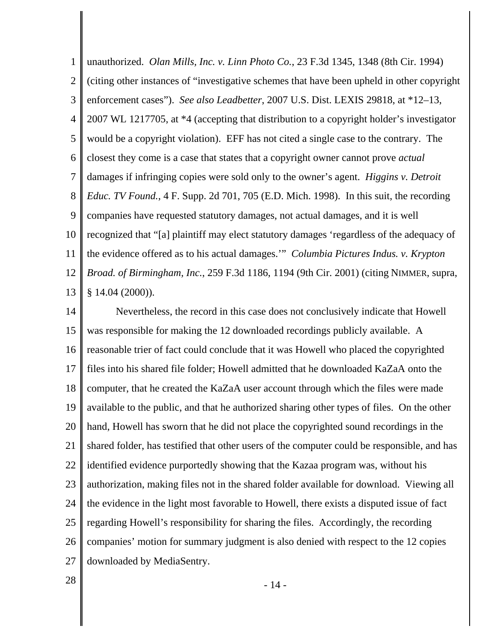1 2 3 4 5 6 7 8 9 10 11 12 13 unauthorized. *Olan Mills, Inc. v. Linn Photo Co.*, 23 F.3d 1345, 1348 (8th Cir. 1994) (citing other instances of "investigative schemes that have been upheld in other copyright enforcement cases"). *See also Leadbetter*, 2007 U.S. Dist. LEXIS 29818, at \*12–13, 2007 WL 1217705, at \*4 (accepting that distribution to a copyright holder's investigator would be a copyright violation). EFF has not cited a single case to the contrary. The closest they come is a case that states that a copyright owner cannot prove *actual* damages if infringing copies were sold only to the owner's agent. *Higgins v. Detroit Educ. TV Found.*, 4 F. Supp. 2d 701, 705 (E.D. Mich. 1998). In this suit, the recording companies have requested statutory damages, not actual damages, and it is well recognized that "[a] plaintiff may elect statutory damages 'regardless of the adequacy of the evidence offered as to his actual damages.'" *Columbia Pictures Indus. v. Krypton Broad. of Birmingham, Inc.*, 259 F.3d 1186, 1194 (9th Cir. 2001) (citing NIMMER, supra, § 14.04 (2000)).

14 15 16 17 18 19 20 21 22 23 24 25 26 27 Nevertheless, the record in this case does not conclusively indicate that Howell was responsible for making the 12 downloaded recordings publicly available. A reasonable trier of fact could conclude that it was Howell who placed the copyrighted files into his shared file folder; Howell admitted that he downloaded KaZaA onto the computer, that he created the KaZaA user account through which the files were made available to the public, and that he authorized sharing other types of files. On the other hand, Howell has sworn that he did not place the copyrighted sound recordings in the shared folder, has testified that other users of the computer could be responsible, and has identified evidence purportedly showing that the Kazaa program was, without his authorization, making files not in the shared folder available for download. Viewing all the evidence in the light most favorable to Howell, there exists a disputed issue of fact regarding Howell's responsibility for sharing the files. Accordingly, the recording companies' motion for summary judgment is also denied with respect to the 12 copies downloaded by MediaSentry.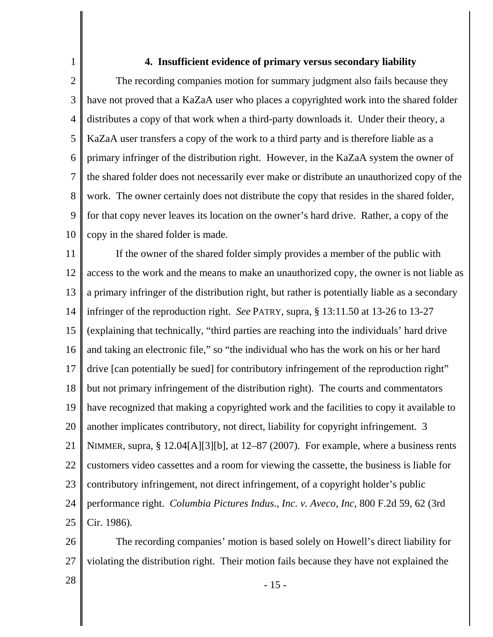## **4. Insufficient evidence of primary versus secondary liability**

2 3 4 5 6 7 8 9 10 The recording companies motion for summary judgment also fails because they have not proved that a KaZaA user who places a copyrighted work into the shared folder distributes a copy of that work when a third-party downloads it. Under their theory, a KaZaA user transfers a copy of the work to a third party and is therefore liable as a primary infringer of the distribution right. However, in the KaZaA system the owner of the shared folder does not necessarily ever make or distribute an unauthorized copy of the work. The owner certainly does not distribute the copy that resides in the shared folder, for that copy never leaves its location on the owner's hard drive. Rather, a copy of the copy in the shared folder is made.

11 12 13 14 15 16 17 18 19 20 21 22 23 24 25 If the owner of the shared folder simply provides a member of the public with access to the work and the means to make an unauthorized copy, the owner is not liable as a primary infringer of the distribution right, but rather is potentially liable as a secondary infringer of the reproduction right. *See* PATRY, supra, § 13:11.50 at 13-26 to 13-27 (explaining that technically, "third parties are reaching into the individuals' hard drive and taking an electronic file," so "the individual who has the work on his or her hard drive [can potentially be sued] for contributory infringement of the reproduction right" but not primary infringement of the distribution right). The courts and commentators have recognized that making a copyrighted work and the facilities to copy it available to another implicates contributory, not direct, liability for copyright infringement. 3 NIMMER, supra, § 12.04[A][3][b], at 12–87 (2007). For example, where a business rents customers video cassettes and a room for viewing the cassette, the business is liable for contributory infringement, not direct infringement, of a copyright holder's public performance right. *Columbia Pictures Indus., Inc. v. Aveco, Inc*, 800 F.2d 59, 62 (3rd Cir. 1986).

26 27 The recording companies' motion is based solely on Howell's direct liability for violating the distribution right. Their motion fails because they have not explained the

1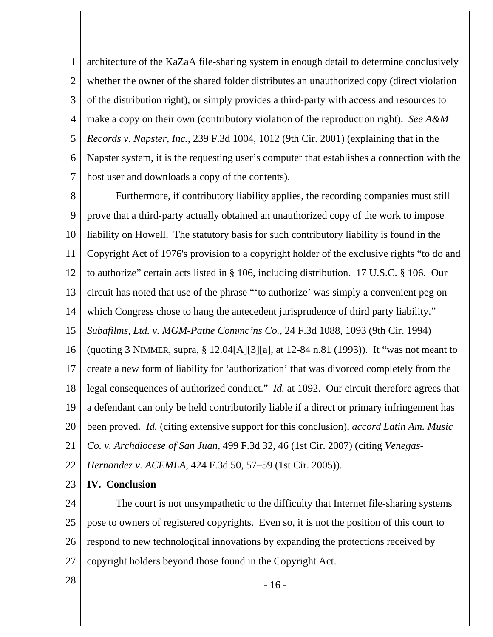1 2 3 4 5 6 7 architecture of the KaZaA file-sharing system in enough detail to determine conclusively whether the owner of the shared folder distributes an unauthorized copy (direct violation of the distribution right), or simply provides a third-party with access and resources to make a copy on their own (contributory violation of the reproduction right). *See A&M Records v. Napster, Inc.*, 239 F.3d 1004, 1012 (9th Cir. 2001) (explaining that in the Napster system, it is the requesting user's computer that establishes a connection with the host user and downloads a copy of the contents).

8 9 10 11 12 13 14 15 16 17 18 19 20 21 Furthermore, if contributory liability applies, the recording companies must still prove that a third-party actually obtained an unauthorized copy of the work to impose liability on Howell. The statutory basis for such contributory liability is found in the Copyright Act of 1976's provision to a copyright holder of the exclusive rights "to do and to authorize" certain acts listed in § 106, including distribution. 17 U.S.C. § 106. Our circuit has noted that use of the phrase "'to authorize' was simply a convenient peg on which Congress chose to hang the antecedent jurisprudence of third party liability." *Subafilms, Ltd. v. MGM-Pathe Commc'ns Co.*, 24 F.3d 1088, 1093 (9th Cir. 1994) (quoting 3 NIMMER, supra, § 12.04[A][3][a], at 12-84 n.81 (1993)). It "was not meant to create a new form of liability for 'authorization' that was divorced completely from the legal consequences of authorized conduct." *Id.* at 1092. Our circuit therefore agrees that a defendant can only be held contributorily liable if a direct or primary infringement has been proved. *Id.* (citing extensive support for this conclusion), *accord Latin Am. Music Co. v. Archdiocese of San Juan*, 499 F.3d 32, 46 (1st Cir. 2007) (citing *Venegas-*

22 *Hernandez v. ACEMLA*, 424 F.3d 50, 57–59 (1st Cir. 2005)).

23 **IV. Conclusion**

24 25 26 27 The court is not unsympathetic to the difficulty that Internet file-sharing systems pose to owners of registered copyrights. Even so, it is not the position of this court to respond to new technological innovations by expanding the protections received by copyright holders beyond those found in the Copyright Act.